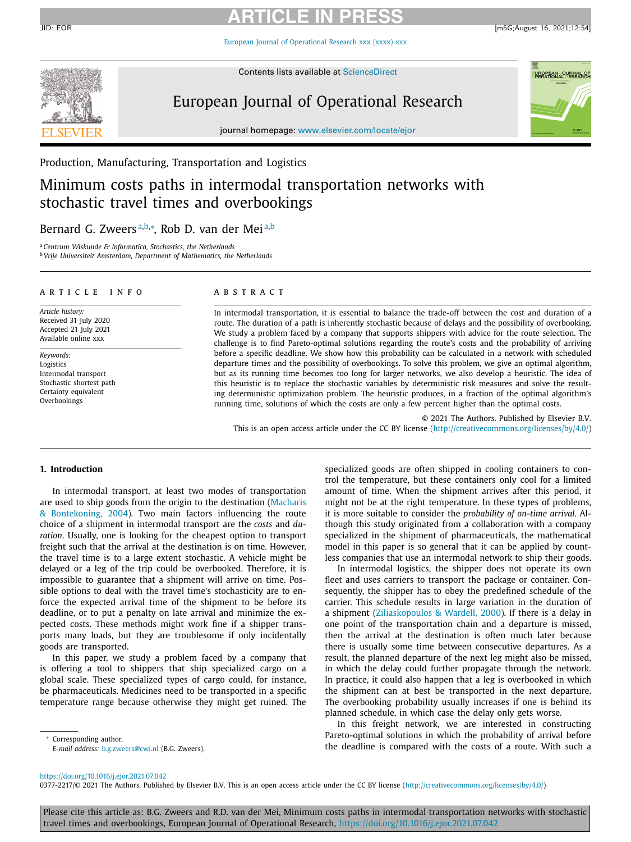European Journal of [Operational](https://doi.org/10.1016/j.ejor.2021.07.042) Research xxx (xxxx) xxx



Contents lists available at [ScienceDirect](http://www.ScienceDirect.com)

# European Journal of Operational Research



journal homepage: [www.elsevier.com/locate/ejor](http://www.elsevier.com/locate/ejor)

Production, Manufacturing, Transportation and Logistics

# Minimum costs paths in intermodal transportation networks with stochastic travel times and overbookings

# Bernard G. Zweersª<sup>,b,</sup>\*, Rob D. van der Mei<sup>a,b</sup>

<sup>a</sup> *Centrum Wiskunde & Informatica, Stochastics, the Netherlands*

<sup>b</sup> *Vrije Universiteit Amsterdam, Department of Mathematics, the Netherlands*

# a r t i c l e i n f o

*Article history:* Received 31 July 2020 Accepted 21 July 2021 Available online xxx

*Keywords:* Logistics Intermodal transport Stochastic shortest path Certainty equivalent Overbookings

# A B S T R A C T

In intermodal transportation, it is essential to balance the trade-off between the cost and duration of a route. The duration of a path is inherently stochastic because of delays and the possibility of overbooking. We study a problem faced by a company that supports shippers with advice for the route selection. The challenge is to find Pareto-optimal solutions regarding the route's costs and the probability of arriving before a specific deadline. We show how this probability can be calculated in a network with scheduled departure times and the possibility of overbookings. To solve this problem, we give an optimal algorithm, but as its running time becomes too long for larger networks, we also develop a heuristic. The idea of this heuristic is to replace the stochastic variables by deterministic risk measures and solve the resulting deterministic optimization problem. The heuristic produces, in a fraction of the optimal algorithm's running time, solutions of which the costs are only a few percent higher than the optimal costs.

© 2021 The Authors. Published by Elsevier B.V. This is an open access article under the CC BY license [\(http://creativecommons.org/licenses/by/4.0/\)](http://creativecommons.org/licenses/by/4.0/)

# **1. Introduction**

In intermodal transport, at least two modes of transportation are used to ship goods from the origin to the destination (Macharis & [Bontekoning,](#page-10-0) 2004). Two main factors influencing the route choice of a shipment in intermodal transport are the *costs* and *duration*. Usually, one is looking for the cheapest option to transport freight such that the arrival at the destination is on time. However, the travel time is to a large extent stochastic. A vehicle might be delayed or a leg of the trip could be overbooked. Therefore, it is impossible to guarantee that a shipment will arrive on time. Possible options to deal with the travel time's stochasticity are to enforce the expected arrival time of the shipment to be before its deadline, or to put a penalty on late arrival and minimize the expected costs. These methods might work fine if a shipper transports many loads, but they are troublesome if only incidentally goods are transported.

In this paper, we study a problem faced by a company that is offering a tool to shippers that ship specialized cargo on a global scale. These specialized types of cargo could, for instance, be pharmaceuticals. Medicines need to be transported in a specific temperature range because otherwise they might get ruined. The

<sup>∗</sup> Corresponding author. *E-mail address:* [b.g.zweers@cwi.nl](mailto:b.g.zweers@cwi.nl) (B.G. Zweers). specialized goods are often shipped in cooling containers to control the temperature, but these containers only cool for a limited amount of time. When the shipment arrives after this period, it might not be at the right temperature. In these types of problems, it is more suitable to consider the *probability of on-time arrival*. Although this study originated from a collaboration with a company specialized in the shipment of pharmaceuticals, the mathematical model in this paper is so general that it can be applied by countless companies that use an intermodal network to ship their goods.

In intermodal logistics, the shipper does not operate its own fleet and uses carriers to transport the package or container. Consequently, the shipper has to obey the predefined schedule of the carrier. This schedule results in large variation in the duration of a shipment [\(Ziliaskopoulos](#page-10-0) & Wardell, 2000). If there is a delay in one point of the transportation chain and a departure is missed, then the arrival at the destination is often much later because there is usually some time between consecutive departures. As a result, the planned departure of the next leg might also be missed, in which the delay could further propagate through the network. In practice, it could also happen that a leg is overbooked in which the shipment can at best be transported in the next departure. The overbooking probability usually increases if one is behind its planned schedule, in which case the delay only gets worse.

In this freight network, we are interested in constructing Pareto-optimal solutions in which the probability of arrival before the deadline is compared with the costs of a route. With such a

### <https://doi.org/10.1016/j.ejor.2021.07.042>

0377-2217/© 2021 The Authors. Published by Elsevier B.V. This is an open access article under the CC BY license [\(http://creativecommons.org/licenses/by/4.0/\)](http://creativecommons.org/licenses/by/4.0/)

Please cite this article as: B.G. Zweers and R.D. van der Mei, Minimum costs paths in intermodal transportation networks with stochastic travel times and overbookings, European Journal of Operational Research, <https://doi.org/10.1016/j.ejor.2021.07.042>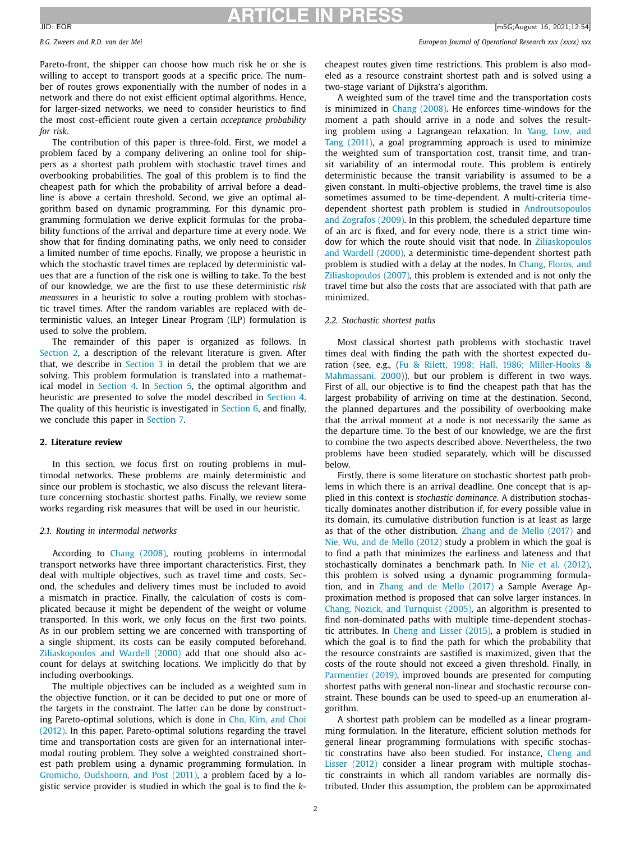<span id="page-1-0"></span>

# *B.G. Zweers and R.D. van der Mei European Journal of Operational Research xxx (xxxx) xxx*

Pareto-front, the shipper can choose how much risk he or she is willing to accept to transport goods at a specific price. The number of routes grows exponentially with the number of nodes in a network and there do not exist efficient optimal algorithms. Hence, for larger-sized networks, we need to consider heuristics to find the most cost-efficient route given a certain *acceptance probability for risk*.

The contribution of this paper is three-fold. First, we model a problem faced by a company delivering an online tool for shippers as a shortest path problem with stochastic travel times and overbooking probabilities. The goal of this problem is to find the cheapest path for which the probability of arrival before a deadline is above a certain threshold. Second, we give an optimal algorithm based on dynamic programming. For this dynamic programming formulation we derive explicit formulas for the probability functions of the arrival and departure time at every node. We show that for finding dominating paths, we only need to consider a limited number of time epochs. Finally, we propose a heuristic in which the stochastic travel times are replaced by deterministic values that are a function of the risk one is willing to take. To the best of our knowledge, we are the first to use these deterministic *risk meassures* in a heuristic to solve a routing problem with stochastic travel times. After the random variables are replaced with deterministic values, an Integer Linear Program (ILP) formulation is used to solve the problem.

The remainder of this paper is organized as follows. In Section 2, a description of the relevant literature is given. After that, we describe in [Section](#page-2-0) 3 in detail the problem that we are solving. This problem formulation is translated into a mathematical model in [Section](#page-3-0) 4. In [Section](#page-4-0) 5, the optimal algorithm and heuristic are presented to solve the model described in [Section](#page-3-0) 4. The quality of this heuristic is investigated in [Section](#page-7-0) 6, and finally, we conclude this paper in [Section](#page-9-0) 7.

# **2. Literature review**

In this section, we focus first on routing problems in multimodal networks. These problems are mainly deterministic and since our problem is stochastic, we also discuss the relevant literature concerning stochastic shortest paths. Finally, we review some works regarding risk measures that will be used in our heuristic.

# *2.1. Routing in intermodal networks*

According to Chang [\(2008\),](#page-10-0) routing problems in intermodal transport networks have three important characteristics. First, they deal with multiple objectives, such as travel time and costs. Second, the schedules and delivery times must be included to avoid a mismatch in practice. Finally, the calculation of costs is complicated because it might be dependent of the weight or volume transported. In this work, we only focus on the first two points. As in our problem setting we are concerned with transporting of a single shipment, its costs can be easily computed beforehand. [Ziliaskopoulos](#page-10-0) and Wardell (2000) add that one should also account for delays at switching locations. We implicitly do that by including overbookings.

The multiple objectives can be included as a weighted sum in the objective function, or it can be decided to put one or more of the targets in the constraint. The latter can be done by constructing [Pareto-optimal](#page-10-0) solutions, which is done in Cho, Kim, and Choi (2012). In this paper, Pareto-optimal solutions regarding the travel time and transportation costs are given for an international intermodal routing problem. They solve a weighted constrained shortest path problem using a dynamic programming formulation. In Gromicho, [Oudshoorn,](#page-10-0) and Post (2011), a problem faced by a logistic service provider is studied in which the goal is to find the *k*- cheapest routes given time restrictions. This problem is also modeled as a resource constraint shortest path and is solved using a two-stage variant of Dijkstra's algorithm.

A weighted sum of the travel time and the transportation costs is minimized in Chang [\(2008\).](#page-10-0) He enforces time-windows for the moment a path should arrive in a node and solves the resulting problem using a Lagrangean relaxation. In Yang, Low, and Tang (2011), a goal [programming](#page-10-0) approach is used to minimize the weighted sum of transportation cost, transit time, and transit variability of an intermodal route. This problem is entirely deterministic because the transit variability is assumed to be a given constant. In multi-objective problems, the travel time is also sometimes assumed to be time-dependent. A multi-criteria timedependent shortest path problem is studied in [Androutsopoulos](#page-10-0) and Zografos (2009). In this problem, the scheduled departure time of an arc is fixed, and for every node, there is a strict time window for which the route should visit that node. In Ziliaskopoulos and Wardell (2000), a deterministic [time-dependent](#page-10-0) shortest path problem is studied with a delay at the nodes. In Chang, Floros, and [Ziliaskopoulos](#page-10-0) (2007), this problem is extended and is not only the travel time but also the costs that are associated with that path are minimized.

# *2.2. Stochastic shortest paths*

Most classical shortest path problems with stochastic travel times deal with finding the path with the shortest expected duration (see, e.g., (Fu & Rilett, 1998; Hall, 1986; Miller-Hooks & [Mahmassani,](#page-10-0) 2000)), but our problem is different in two ways. First of all, our objective is to find the cheapest path that has the largest probability of arriving on time at the destination. Second, the planned departures and the possibility of overbooking make that the arrival moment at a node is not necessarily the same as the departure time. To the best of our knowledge, we are the first to combine the two aspects described above. Nevertheless, the two problems have been studied separately, which will be discussed below.

Firstly, there is some literature on stochastic shortest path problems in which there is an arrival deadline. One concept that is applied in this context is *stochastic dominance*. A distribution stochastically dominates another distribution if, for every possible value in its domain, its cumulative distribution function is at least as large as that of the other distribution. Zhang and de Mello [\(2017\)](#page-10-0) and Nie, Wu, and de Mello [\(2012\)](#page-10-0) study a problem in which the goal is to find a path that minimizes the earliness and lateness and that stochastically dominates a benchmark path. In Nie et al. [\(2012\),](#page-10-0) this problem is solved using a dynamic programming formulation, and in Zhang and de Mello [\(2017\)](#page-10-0) a Sample Average Approximation method is proposed that can solve larger instances. In Chang, Nozick, and [Turnquist](#page-10-0) (2005), an algorithm is presented to find non-dominated paths with multiple time-dependent stochastic attributes. In Cheng and Lisser [\(2015\),](#page-10-0) a problem is studied in which the goal is to find the path for which the probability that the resource constraints are sastified is maximized, given that the costs of the route should not exceed a given threshold. Finally, in [Parmentier](#page-10-0) (2019), improved bounds are presented for computing shortest paths with general non-linear and stochastic recourse constraint. These bounds can be used to speed-up an enumeration algorithm.

A shortest path problem can be modelled as a linear programming formulation. In the literature, efficient solution methods for general linear programming formulations with specific stochastic [constratins](#page-10-0) have also been studied. For instance, Cheng and Lisser (2012) consider a linear program with multiple stochastic constraints in which all random variables are normally distributed. Under this assumption, the problem can be approximated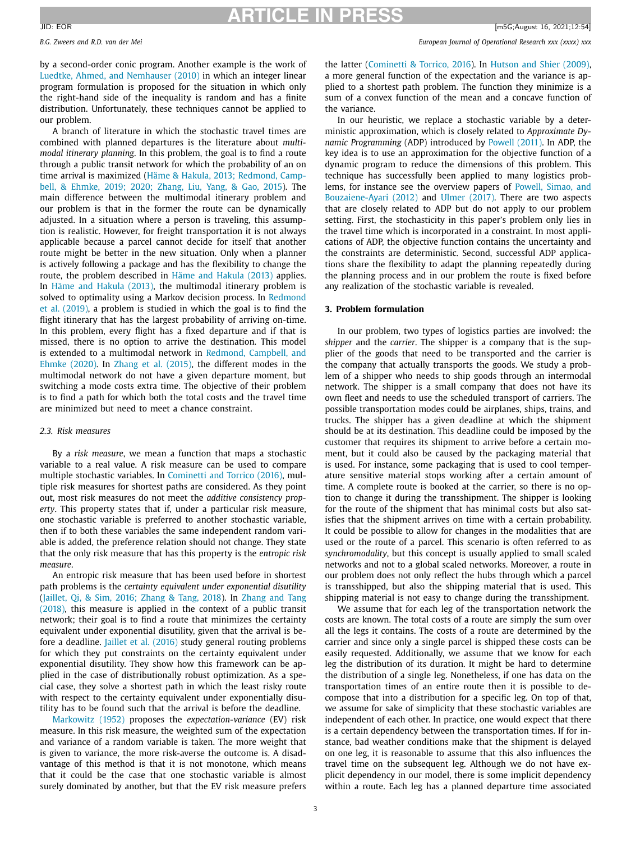<span id="page-2-0"></span>*B.G. Zweers and R.D. van der Mei European Journal of Operational Research xxx (xxxx) xxx*

by a second-order conic program. Another example is the work of Luedtke, Ahmed, and [Nemhauser](#page-10-0) (2010) in which an integer linear program formulation is proposed for the situation in which only the right-hand side of the inequality is random and has a finite distribution. Unfortunately, these techniques cannot be applied to our problem.

A branch of literature in which the stochastic travel times are combined with planned departures is the literature about *multimodal itinerary planning*. In this problem, the goal is to find a route through a public transit network for which the probability of an on time arrival is [maximized](#page-10-0) (Häme & Hakula, 2013; Redmond, Campbell, & Ehmke, 2019; 2020; Zhang, Liu, Yang, & Gao, 2015). The main difference between the multimodal itinerary problem and our problem is that in the former the route can be dynamically adjusted. In a situation where a person is traveling, this assumption is realistic. However, for freight transportation it is not always applicable because a parcel cannot decide for itself that another route might be better in the new situation. Only when a planner is actively following a package and has the flexibility to change the route, the problem described in Häme and [Hakula](#page-10-0) (2013) applies. In Häme and [Hakula](#page-10-0) (2013), the multimodal itinerary problem is solved to [optimality](#page-10-0) using a Markov decision process. In Redmond et al. (2019), a problem is studied in which the goal is to find the flight itinerary that has the largest probability of arriving on-time. In this problem, every flight has a fixed departure and if that is missed, there is no option to arrive the destination. This model is extended to a [multimodal](#page-10-0) network in Redmond, Campbell, and Ehmke (2020). In Zhang et al. [\(2015\),](#page-10-0) the different modes in the multimodal network do not have a given departure moment, but switching a mode costs extra time. The objective of their problem is to find a path for which both the total costs and the travel time are minimized but need to meet a chance constraint.

### *2.3. Risk measures*

By a *risk measure*, we mean a function that maps a stochastic variable to a real value. A risk measure can be used to compare multiple stochastic variables. In [Cominetti](#page-10-0) and Torrico (2016), multiple risk measures for shortest paths are considered. As they point out, most risk measures do not meet the *additive consistency property*. This property states that if, under a particular risk measure, one stochastic variable is preferred to another stochastic variable, then if to both these variables the same independent random variable is added, the preference relation should not change. They state that the only risk measure that has this property is the *entropic risk measure*.

An entropic risk measure that has been used before in shortest path problems is the *certainty equivalent under exponential disutility* [\(Jaillet,](#page-10-0) Qi, & Sim, 2016; Zhang & Tang, 2018). In Zhang and Tang (2018), this [measure](#page-10-0) is applied in the context of a public transit network; their goal is to find a route that minimizes the certainty equivalent under exponential disutility, given that the arrival is before a deadline. Jaillet et al. [\(2016\)](#page-10-0) study general routing problems for which they put constraints on the certainty equivalent under exponential disutility. They show how this framework can be applied in the case of distributionally robust optimization. As a special case, they solve a shortest path in which the least risky route with respect to the certainty equivalent under exponentially disutility has to be found such that the arrival is before the deadline.

[Markowitz](#page-10-0) (1952) proposes the *expectation-variance* (EV) risk measure. In this risk measure, the weighted sum of the expectation and variance of a random variable is taken. The more weight that is given to variance, the more risk-averse the outcome is. A disadvantage of this method is that it is not monotone, which means that it could be the case that one stochastic variable is almost surely dominated by another, but that the EV risk measure prefers the latter [\(Cominetti](#page-10-0) & Torrico, 2016). In [Hutson](#page-10-0) and Shier (2009), a more general function of the expectation and the variance is applied to a shortest path problem. The function they minimize is a sum of a convex function of the mean and a concave function of the variance.

In our heuristic, we replace a stochastic variable by a deterministic approximation, which is closely related to *Approximate Dynamic Programming* (ADP) introduced by [Powell](#page-10-0) (2011). In ADP, the key idea is to use an approximation for the objective function of a dynamic program to reduce the dimensions of this problem. This technique has successfully been applied to many logistics problems, for instance see the overview papers of Powell, Simao, and [Bouzaiene-Ayari](#page-10-0) (2012) and Ulmer [\(2017\).](#page-10-0) There are two aspects that are closely related to ADP but do not apply to our problem setting. First, the stochasticity in this paper's problem only lies in the travel time which is incorporated in a constraint. In most applications of ADP, the objective function contains the uncertainty and the constraints are deterministic. Second, successful ADP applications share the flexibility to adapt the planning repeatedly during the planning process and in our problem the route is fixed before any realization of the stochastic variable is revealed.

# **3. Problem formulation**

In our problem, two types of logistics parties are involved: the *shipper* and the *carrier*. The shipper is a company that is the supplier of the goods that need to be transported and the carrier is the company that actually transports the goods. We study a problem of a shipper who needs to ship goods through an intermodal network. The shipper is a small company that does not have its own fleet and needs to use the scheduled transport of carriers. The possible transportation modes could be airplanes, ships, trains, and trucks. The shipper has a given deadline at which the shipment should be at its destination. This deadline could be imposed by the customer that requires its shipment to arrive before a certain moment, but it could also be caused by the packaging material that is used. For instance, some packaging that is used to cool temperature sensitive material stops working after a certain amount of time. A complete route is booked at the carrier, so there is no option to change it during the transshipment. The shipper is looking for the route of the shipment that has minimal costs but also satisfies that the shipment arrives on time with a certain probability. It could be possible to allow for changes in the modalities that are used or the route of a parcel. This scenario is often referred to as *synchromodality*, but this concept is usually applied to small scaled networks and not to a global scaled networks. Moreover, a route in our problem does not only reflect the hubs through which a parcel is transshipped, but also the shipping material that is used. This shipping material is not easy to change during the transshipment.

We assume that for each leg of the transportation network the costs are known. The total costs of a route are simply the sum over all the legs it contains. The costs of a route are determined by the carrier and since only a single parcel is shipped these costs can be easily requested. Additionally, we assume that we know for each leg the distribution of its duration. It might be hard to determine the distribution of a single leg. Nonetheless, if one has data on the transportation times of an entire route then it is possible to decompose that into a distribution for a specific leg. On top of that, we assume for sake of simplicity that these stochastic variables are independent of each other. In practice, one would expect that there is a certain dependency between the transportation times. If for instance, bad weather conditions make that the shipment is delayed on one leg, it is reasonable to assume that this also influences the travel time on the subsequent leg. Although we do not have explicit dependency in our model, there is some implicit dependency within a route. Each leg has a planned departure time associated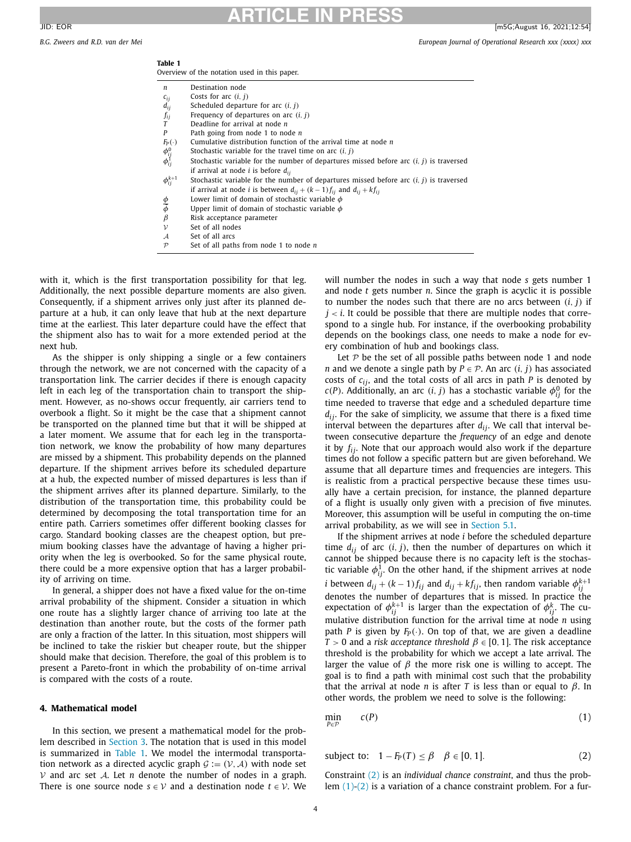<span id="page-3-0"></span>*B.G. Zweers and R.D. van der Mei European Journal of Operational Research xxx (xxxx) xxx*

| Table 1                                      |  |  |  |  |
|----------------------------------------------|--|--|--|--|
| Overview of the notation used in this paper. |  |  |  |  |

| n                                                     | Destination node                                                                         |
|-------------------------------------------------------|------------------------------------------------------------------------------------------|
| $c_{ij}$                                              | Costs for arc $(i, j)$                                                                   |
| $d_{ij}$                                              | Scheduled departure for arc $(i, j)$                                                     |
| $f_{ij}$                                              | Frequency of departures on arc $(i, j)$                                                  |
|                                                       | Deadline for arrival at node n                                                           |
| P                                                     | Path going from node 1 to node $n$                                                       |
| $F_P(\cdot)$                                          | Cumulative distribution function of the arrival time at node $n$                         |
| $\phi_{ij}^0$<br>$\phi_{ij}^{1}$<br>$\phi_{ij}^{k+1}$ | Stochastic variable for the travel time on arc $(i, j)$                                  |
|                                                       | Stochastic variable for the number of departures missed before arc $(i, j)$ is traversed |
|                                                       | if arrival at node <i>i</i> is before $d_{ii}$                                           |
|                                                       | Stochastic variable for the number of departures missed before arc $(i, j)$ is traversed |
|                                                       | if arrival at node <i>i</i> is between $d_{ij} + (k-1) f_{ij}$ and $d_{ij} + kf_{ij}$    |
|                                                       | Lower limit of domain of stochastic variable $\phi$                                      |
| $\frac{\phi}{\overline{\phi}}$ $\beta$                | Upper limit of domain of stochastic variable $\phi$                                      |
|                                                       | Risk acceptance parameter                                                                |
| $\mathcal V$                                          | Set of all nodes                                                                         |
| $\mathcal A$                                          | Set of all arcs                                                                          |
| $\mathcal{P}$                                         | Set of all paths from node 1 to node $n$                                                 |
|                                                       |                                                                                          |

with it, which is the first transportation possibility for that leg. Additionally, the next possible departure moments are also given. Consequently, if a shipment arrives only just after its planned departure at a hub, it can only leave that hub at the next departure time at the earliest. This later departure could have the effect that the shipment also has to wait for a more extended period at the next hub.

As the shipper is only shipping a single or a few containers through the network, we are not concerned with the capacity of a transportation link. The carrier decides if there is enough capacity left in each leg of the transportation chain to transport the shipment. However, as no-shows occur frequently, air carriers tend to overbook a flight. So it might be the case that a shipment cannot be transported on the planned time but that it will be shipped at a later moment. We assume that for each leg in the transportation network, we know the probability of how many departures are missed by a shipment. This probability depends on the planned departure. If the shipment arrives before its scheduled departure at a hub, the expected number of missed departures is less than if the shipment arrives after its planned departure. Similarly, to the distribution of the transportation time, this probability could be determined by decomposing the total transportation time for an entire path. Carriers sometimes offer different booking classes for cargo. Standard booking classes are the cheapest option, but premium booking classes have the advantage of having a higher priority when the leg is overbooked. So for the same physical route, there could be a more expensive option that has a larger probability of arriving on time.

In general, a shipper does not have a fixed value for the on-time arrival probability of the shipment. Consider a situation in which one route has a slightly larger chance of arriving too late at the destination than another route, but the costs of the former path are only a fraction of the latter. In this situation, most shippers will be inclined to take the riskier but cheaper route, but the shipper should make that decision. Therefore, the goal of this problem is to present a Pareto-front in which the probability of on-time arrival is compared with the costs of a route.

# **4. Mathematical model**

In this section, we present a mathematical model for the problem described in [Section](#page-2-0) 3. The notation that is used in this model is summarized in Table 1. We model the intermodal transportation network as a directed acyclic graph  $G := (\mathcal{V}, \mathcal{A})$  with node set  $V$  and arc set  $A$ . Let *n* denote the number of nodes in a graph. There is one source node  $s \in V$  and a destination node  $t \in V$ . We

will number the nodes in such a way that node *s* gets number 1 and node *t* gets number *n*. Since the graph is acyclic it is possible to number the nodes such that there are no arcs between  $(i, j)$  if  $j < i$ . It could be possible that there are multiple nodes that correspond to a single hub. For instance, if the overbooking probability depends on the bookings class, one needs to make a node for every combination of hub and bookings class.

Let  $P$  be the set of all possible paths between node 1 and node *n* and we denote a single path by  $P \in \mathcal{P}$ . An arc  $(i, j)$  has associated costs of *cij*, and the total costs of all arcs in path *P* is denoted by  $c(P)$ . Additionally, an arc  $(i, j)$  has a stochastic variable  $\phi_{ij}^0$  for the time needed to traverse that edge and a scheduled departure time *dij*. For the sake of simplicity, we assume that there is a fixed time interval between the departures after  $d_{ij}$ . We call that interval between consecutive departure the *frequency* of an edge and denote it by  $f_{ij}$ . Note that our approach would also work if the departure times do not follow a specific pattern but are given beforehand. We assume that all departure times and frequencies are integers. This is realistic from a practical perspective because these times usually have a certain precision, for instance, the planned departure of a flight is usually only given with a precision of five minutes. Moreover, this assumption will be useful in computing the on-time arrival probability, as we will see in [Section](#page-4-0) 5.1.

If the shipment arrives at node *i* before the scheduled departure time  $d_{ij}$  of arc  $(i, j)$ , then the number of departures on which it cannot be shipped because there is no capacity left is the stochastic variable  $\phi_{ij}^1$ . On the other hand, if the shipment arrives at node *i* between  $d_{ij} + (k-1)f_{ij}$  and  $d_{ij} + kf_{ij}$ , then random variable  $\phi_{ij}^{k+1}$ denotes the number of departures that is missed. In practice the expectation of  $\phi_{ij}^{k+1}$  is larger than the expectation of  $\phi_{ij}^k$ . The cumulative distribution function for the arrival time at node *n* using path *P* is given by  $F_P(\cdot)$ . On top of that, we are given a deadline *T* > 0 and a *risk acceptance threshold*  $\beta \in [0, 1]$ . The risk acceptance threshold is the probability for which we accept a late arrival. The larger the value of  $\beta$  the more risk one is willing to accept. The goal is to find a path with minimal cost such that the probability that the arrival at node *n* is after *T* is less than or equal to  $β$ . In other words, the problem we need to solve is the following:

$$
\min_{P \in \mathcal{P}} \quad c(P) \tag{1}
$$

subject to: 
$$
1 - F_P(T) \le \beta
$$
  $\beta \in [0, 1].$  (2)

Constraint (2) is an *individual chance constraint*, and thus the problem  $(1)-(2)$  is a variation of a chance constraint problem. For a fur-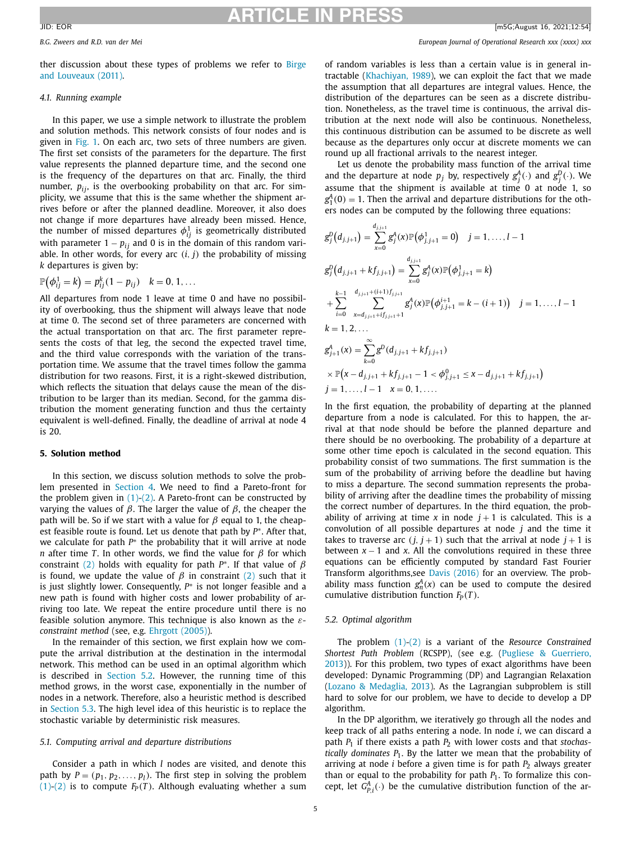<span id="page-4-0"></span>*B.G. Zweers and R.D. van der Mei European Journal of Operational Research xxx (xxxx) xxx*

ther [discussion](#page-10-0) about these types of problems we refer to Birge and Louveaux (2011).

### *4.1. Running example*

In this paper, we use a simple network to illustrate the problem and solution methods. This network consists of four nodes and is given in [Fig.](#page-5-0) 1. On each arc, two sets of three numbers are given. The first set consists of the parameters for the departure. The first value represents the planned departure time, and the second one is the frequency of the departures on that arc. Finally, the third number,  $p_{ij}$ , is the overbooking probability on that arc. For simplicity, we assume that this is the same whether the shipment arrives before or after the planned deadline. Moreover, it also does not change if more departures have already been missed. Hence, the number of missed departures  $\phi_{ij}^1$  is geometrically distributed with parameter  $1 - p_{ij}$  and 0 is in the domain of this random variable. In other words, for every arc  $(i, j)$  the probability of missing *k* departures is given by:

$$
\mathbb{P}(\phi_{ij}^1 = k) = p_{ij}^k (1 - p_{ij}) \quad k = 0, 1, ...
$$

All departures from node 1 leave at time 0 and have no possibility of overbooking, thus the shipment will always leave that node at time 0. The second set of three parameters are concerned with the actual transportation on that arc. The first parameter represents the costs of that leg, the second the expected travel time, and the third value corresponds with the variation of the transportation time. We assume that the travel times follow the gamma distribution for two reasons. First, it is a right-skewed distribution, which reflects the situation that delays cause the mean of the distribution to be larger than its median. Second, for the gamma distribution the moment generating function and thus the certainty equivalent is well-defined. Finally, the deadline of arrival at node 4 is 20.

# **5. Solution method**

In this section, we discuss solution methods to solve the problem presented in [Section](#page-3-0) 4. We need to find a Pareto-front for the problem given in  $(1)-(2)$ . A Pareto-front can be constructed by varying the values of  $β$ . The larger the value of  $β$ , the cheaper the path will be. So if we start with a value for  $\beta$  equal to 1, the cheapest feasible route is found. Let us denote that path by *P*∗. After that, we calculate for path *P*<sup>∗</sup> the probability that it will arrive at node *n* after time *T*. In other words, we find the value for  $\beta$  for which constraint [\(2\)](#page-3-0) holds with equality for path  $P^*$ . If that value of  $\beta$ is found, we update the value of  $\beta$  in constraint [\(2\)](#page-3-0) such that it is just slightly lower. Consequently, *P*<sup>∗</sup> is not longer feasible and a new path is found with higher costs and lower probability of arriving too late. We repeat the entire procedure until there is no feasible solution anymore. This technique is also known as the ε*constraint method* (see, e.g. [Ehrgott](#page-10-0) (2005)).

In the remainder of this section, we first explain how we compute the arrival distribution at the destination in the intermodal network. This method can be used in an optimal algorithm which is described in Section 5.2. However, the running time of this method grows, in the worst case, exponentially in the number of nodes in a network. Therefore, also a heuristic method is described in [Section](#page-5-0) 5.3. The high level idea of this heuristic is to replace the stochastic variable by deterministic risk measures.

### *5.1. Computing arrival and departure distributions*

Consider a path in which *l* nodes are visited, and denote this path by  $P = (p_1, p_2, \ldots, p_l)$ . The first step in solving the problem [\(1\)-\(2\)](#page-3-0) is to compute  $F_P(T)$ . Although evaluating whether a sum of random variables is less than a certain value is in general intractable [\(Khachiyan,](#page-10-0) 1989), we can exploit the fact that we made the assumption that all departures are integral values. Hence, the distribution of the departures can be seen as a discrete distribution. Nonetheless, as the travel time is continuous, the arrival distribution at the next node will also be continuous. Nonetheless, this continuous distribution can be assumed to be discrete as well because as the departures only occur at discrete moments we can round up all fractional arrivals to the nearest integer.

Let us denote the probability mass function of the arrival time and the departure at node  $p_j$  by, respectively  $g_j^A(\cdot)$  and  $g_j^D(\cdot)$ . We assume that the shipment is available at time 0 at node 1, so  $g_1^A(0) = 1$ . Then the arrival and departure distributions for the others nodes can be computed by the following three equations:

$$
g_j^D(d_{j,j+1}) = \sum_{x=0}^{d_{j,j+1}} g_j^A(x) \mathbb{P}(\phi_{j,j+1}^1 = 0) \quad j = 1, ..., l-1
$$
  
\n
$$
g_j^D(d_{j,j+1} + kf_{j,j+1}) = \sum_{x=0}^{d_{j,j+1}} g_j^A(x) \mathbb{P}(\phi_{j,j+1}^1 = k)
$$
  
\n
$$
+ \sum_{i=0}^{k-1} \sum_{x=d_{j,j+1}+if_{j,j+1}+1}^{d_{j,j+1}+(i+1)f_{j,j+1}} g_j^A(x) \mathbb{P}(\phi_{j,j+1}^{i+1} = k - (i+1)) \quad j = 1, ..., l-1
$$
  
\n
$$
k = 1, 2, ...
$$
  
\n
$$
g_{j+1}^A(x) = \sum_{k=0}^{\infty} g^D(d_{j,j+1} + kf_{j,j+1})
$$
  
\n
$$
\times \mathbb{P}(x - d_{j,j+1} + kf_{j,j+1} - 1 < \phi_{j,j+1}^0 \le x - d_{j,j+1} + kf_{j,j+1})
$$
  
\n
$$
j = 1, ..., l-1 \quad x = 0, 1, ...
$$

In the first equation, the probability of departing at the planned departure from a node is calculated. For this to happen, the arrival at that node should be before the planned departure and there should be no overbooking. The probability of a departure at some other time epoch is calculated in the second equation. This probability consist of two summations. The first summation is the sum of the probability of arriving before the deadline but having to miss a departure. The second summation represents the probability of arriving after the deadline times the probability of missing the correct number of departures. In the third equation, the probability of arriving at time  $x$  in node  $j + 1$  is calculated. This is a convolution of all possible departures at node *j* and the time it takes to traverse arc  $(j, j + 1)$  such that the arrival at node  $j + 1$  is between  $x - 1$  and  $x$ . All the convolutions required in these three equations can be efficiently computed by standard Fast Fourier Transform algorithms,see Davis [\(2016\)](#page-10-0) for an overview. The probability mass function  $g_n^A(x)$  can be used to compute the desired cumulative distribution function  $F_P(T)$ .

# *5.2. Optimal algorithm*

The problem [\(1\)-\(2\)](#page-3-0) is a variant of the *Resource Constrained Shortest Path Problem* (RCSPP), (see e.g. (Pugliese & Guerriero, 2013)). For this problem, two types of exact [algorithms](#page-10-0) have been developed: Dynamic Programming (DP) and Lagrangian Relaxation (Lozano & [Medaglia,](#page-10-0) 2013). As the Lagrangian subproblem is still hard to solve for our problem, we have to decide to develop a DP algorithm.

In the DP algorithm, we iteratively go through all the nodes and keep track of all paths entering a node. In node *i*, we can discard a path *P*<sub>1</sub> if there exists a path *P*<sub>2</sub> with lower costs and that *stochastically dominates*  $P_1$ . By the latter we mean that the probability of arriving at node *i* before a given time is for path  $P_2$  always greater than or equal to the probability for path  $P_1$ . To formalize this concept, let  $G_{P,i}^{A}(\cdot)$  be the cumulative distribution function of the ar-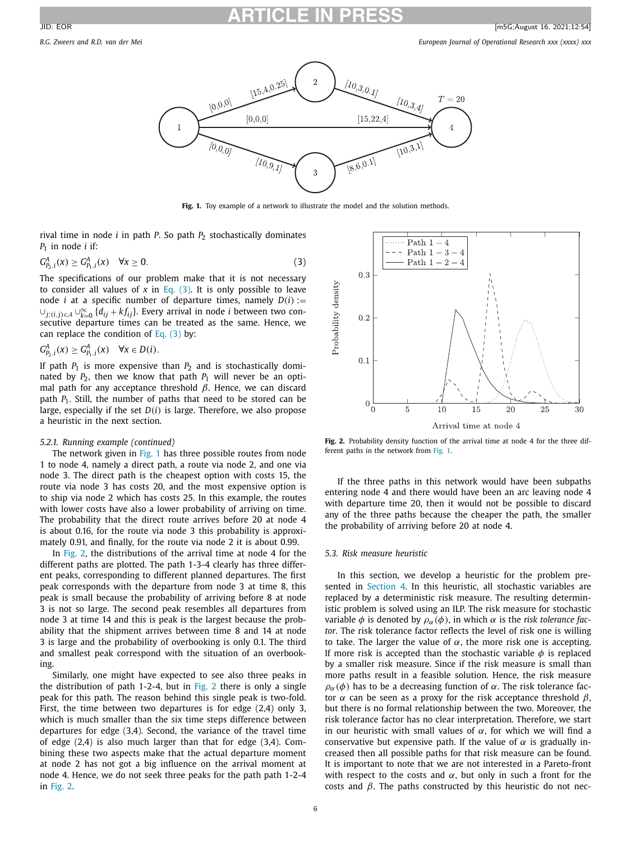<span id="page-5-0"></span>

**Fig. 1.** Toy example of a network to illustrate the model and the solution methods.

rival time in node *i* in path *P*. So path *P*<sub>2</sub> stochastically dominates  $P_1$  in node *i* if:

$$
G_{P_2,i}^A(x) \ge G_{P_1,i}^A(x) \quad \forall x \ge 0.
$$
 (3)

The specifications of our problem make that it is not necessary to consider all values of  $x$  in Eq. (3). It is only possible to leave node *i* at a specific number of departure times, namely  $D(i) :=$ <sup>∪</sup>*j*:(*i*,*j*)∈<sup>A</sup> <sup>∪</sup><sup>∞</sup> *<sup>k</sup>*=<sup>0</sup> {*dij* <sup>+</sup> *k fij*}. Every arrival in node *<sup>i</sup>* between two consecutive departure times can be treated as the same. Hence, we can replace the condition of Eq.  $(3)$  by:

$$
G_{P_2,i}^A(x) \geq G_{P_1,i}^A(x) \quad \forall x \in D(i).
$$

If path  $P_1$  is more expensive than  $P_2$  and is stochastically dominated by  $P_2$ , then we know that path  $P_1$  will never be an optimal path for any acceptance threshold  $\beta$ . Hence, we can discard path  $P_1$ . Still, the number of paths that need to be stored can be large, especially if the set *D*(*i*) is large. Therefore, we also propose a heuristic in the next section.

### *5.2.1. Running example (continued)*

The network given in Fig. 1 has three possible routes from node 1 to node 4, namely a direct path, a route via node 2, and one via node 3. The direct path is the cheapest option with costs 15, the route via node 3 has costs 20, and the most expensive option is to ship via node 2 which has costs 25. In this example, the routes with lower costs have also a lower probability of arriving on time. The probability that the direct route arrives before 20 at node 4 is about 0.16, for the route via node 3 this probability is approximately 0.91, and finally, for the route via node 2 it is about 0.99.

In Fig. 2, the distributions of the arrival time at node 4 for the different paths are plotted. The path 1-3-4 clearly has three different peaks, corresponding to different planned departures. The first peak corresponds with the departure from node 3 at time 8, this peak is small because the probability of arriving before 8 at node 3 is not so large. The second peak resembles all departures from node 3 at time 14 and this is peak is the largest because the probability that the shipment arrives between time 8 and 14 at node 3 is large and the probability of overbooking is only 0.1. The third and smallest peak correspond with the situation of an overbooking.

Similarly, one might have expected to see also three peaks in the distribution of path 1-2-4, but in  $Fig. 2$  there is only a single peak for this path. The reason behind this single peak is two-fold. First, the time between two departures is for edge (2,4) only 3, which is much smaller than the six time steps difference between departures for edge (3,4). Second, the variance of the travel time of edge (2,4) is also much larger than that for edge (3,4). Combining these two aspects make that the actual departure moment at node 2 has not got a big influence on the arrival moment at node 4. Hence, we do not seek three peaks for the path path 1-2-4 in Fig. 2.



**Fig. 2.** Probability density function of the arrival time at node 4 for the three different paths in the network from Fig. 1.

If the three paths in this network would have been subpaths entering node 4 and there would have been an arc leaving node 4 with departure time 20, then it would not be possible to discard any of the three paths because the cheaper the path, the smaller the probability of arriving before 20 at node 4.

# *5.3. Risk measure heuristic*

In this section, we develop a heuristic for the problem presented in [Section](#page-3-0) 4. In this heuristic, all stochastic variables are replaced by a deterministic risk measure. The resulting deterministic problem is solved using an ILP. The risk measure for stochastic variable  $\phi$  is denoted by  $\rho_{\alpha}(\phi)$ , in which  $\alpha$  is the *risk tolerance* fac*tor*. The risk tolerance factor reflects the level of risk one is willing to take. The larger the value of  $\alpha$ , the more risk one is accepting. If more risk is accepted than the stochastic variable  $\phi$  is replaced by a smaller risk measure. Since if the risk measure is small than more paths result in a feasible solution. Hence, the risk measure  $\rho_{\alpha}(\phi)$  has to be a decreasing function of  $\alpha$ . The risk tolerance factor  $\alpha$  can be seen as a proxy for the risk acceptance threshold  $\beta$ , but there is no formal relationship between the two. Moreover, the risk tolerance factor has no clear interpretation. Therefore, we start in our heuristic with small values of  $\alpha$ , for which we will find a conservative but expensive path. If the value of  $\alpha$  is gradually increased then all possible paths for that risk measure can be found. It is important to note that we are not interested in a Pareto-front with respect to the costs and  $\alpha$ , but only in such a front for the costs and  $\beta$ . The paths constructed by this heuristic do not nec-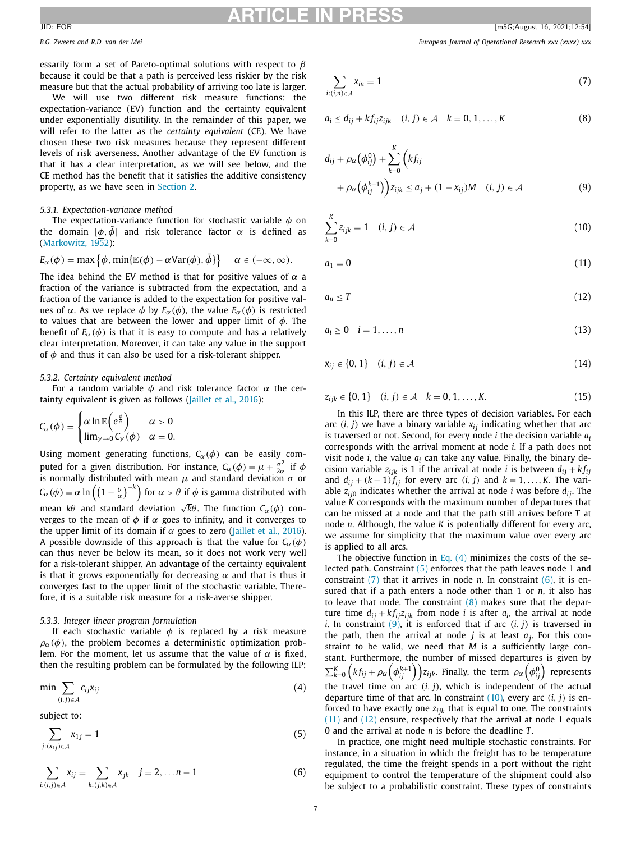<span id="page-6-0"></span>*B.G. Zweers and R.D. van der Mei European Journal of Operational Research xxx (xxxx) xxx*

essarily form a set of Pareto-optimal solutions with respect to  $\beta$ because it could be that a path is perceived less riskier by the risk measure but that the actual probability of arriving too late is larger.

We will use two different risk measure functions: the expectation-variance (EV) function and the certainty equivalent under exponentially disutility. In the remainder of this paper, we will refer to the latter as the *certainty equivalent* (CE). We have chosen these two risk measures because they represent different levels of risk averseness. Another advantage of the EV function is that it has a clear interpretation, as we will see below, and the CE method has the benefit that it satisfies the additive consistency property, as we have seen in [Section](#page-1-0) 2.

# *5.3.1. Expectation-variance method*

The expectation-variance function for stochastic variable  $\phi$  on the domain  $[\phi, \bar{\phi}]$  and risk tolerance factor  $\alpha$  is defined as [\(Markowitz,](#page-10-0) 1952):

$$
E_{\alpha}(\phi) = \max \{ \phi, \min \{ \mathbb{E}(\phi) - \alpha \text{Var}(\phi), \bar{\phi} \} \} \quad \alpha \in (-\infty, \infty).
$$

The idea behind the EV method is that for positive values of  $\alpha$  a fraction of the variance is subtracted from the expectation, and a fraction of the variance is added to the expectation for positive values of α. As we replace  $\phi$  by  $E_\alpha(\phi)$ , the value  $E_\alpha(\phi)$  is restricted to values that are between the lower and upper limit of  $\phi$ . The benefit of  $E_\alpha(\phi)$  is that it is easy to compute and has a relatively clear interpretation. Moreover, it can take any value in the support of  $\phi$  and thus it can also be used for a risk-tolerant shipper.

## *5.3.2. Certainty equivalent method*

For a random variable  $\phi$  and risk tolerance factor  $\alpha$  the certainty equivalent is given as follows [\(Jaillet](#page-10-0) et al., 2016):

$$
C_{\alpha}(\phi) = \begin{cases} \alpha \ln \mathbb{E} \left( e^{\frac{\phi}{\alpha}} \right) & \alpha > 0 \\ \lim_{\gamma \to 0} C_{\gamma}(\phi) & \alpha = 0. \end{cases}
$$

Using moment generating functions,  $C_{\alpha}(\phi)$  can be easily computed for a given distribution. For instance,  $C_{\alpha}(\phi) = \mu + \frac{\sigma^2}{2\alpha}$  if  $\phi$ is normally distributed with mean  $\mu$  and standard deviation  $\sigma$  or  $\mathcal{C}_{\alpha}(\phi)=\alpha\ln\left(\left(1-\frac{\theta}{\alpha}\right)^{-k}\right)$  for  $\alpha>\theta$  if  $\phi$  is gamma distributed with mean *kθ* and standard deviation  $\sqrt{k}$ θ. The function *C*α(φ) converges to the mean of  $\phi$  if  $\alpha$  goes to infinity, and it converges to the upper limit of its domain if  $\alpha$  goes to zero [\(Jaillet](#page-10-0) et al., 2016). A possible downside of this approach is that the value for  $C_\alpha(\phi)$ can thus never be below its mean, so it does not work very well for a risk-tolerant shipper. An advantage of the certainty equivalent is that it grows exponentially for decreasing  $\alpha$  and that is thus it converges fast to the upper limit of the stochastic variable. Therefore, it is a suitable risk measure for a risk-averse shipper.

# *5.3.3. Integer linear program formulation*

If each stochastic variable  $\phi$  is replaced by a risk measure  $\rho_{\alpha}(\phi)$ , the problem becomes a deterministic optimization problem. For the moment, let us assume that the value of  $\alpha$  is fixed, then the resulting problem can be formulated by the following ILP:

$$
\min \sum_{(i,j)\in A} c_{ij} x_{ij} \tag{4}
$$

subject to:

$$
\sum_{j:(x_{1j})\in\mathcal{A}}x_{1j}=1
$$
\n(5)

$$
\sum_{i:(i,j)\in\mathcal{A}}x_{ij}=\sum_{k:(j,k)\in\mathcal{A}}x_{jk} \quad j=2,\ldots n-1
$$
 (6)

$$
\sum_{i:(i,n)\in\mathcal{A}} x_{in} = 1\tag{7}
$$

$$
a_i \le d_{ij} + k f_{ij} z_{ijk} \quad (i, j) \in \mathcal{A} \quad k = 0, 1, \dots, K \tag{8}
$$

$$
d_{ij} + \rho_{\alpha}(\phi_{ij}^{0}) + \sum_{k=0}^{K} \left(kf_{ij} + \rho_{\alpha}(\phi_{ij}^{k+1})\right) z_{ijk} \leq a_j + (1 - x_{ij})M \quad (i, j) \in \mathcal{A}
$$
 (9)

$$
\sum_{k=0}^{K} z_{ijk} = 1 \quad (i, j) \in \mathcal{A}
$$
 (10)

 $a_1 = 0$  (11)

$$
a_n \leq T \tag{12}
$$

$$
a_i \ge 0 \quad i = 1, \ldots, n \tag{13}
$$

$$
x_{ij} \in \{0, 1\} \quad (i, j) \in \mathcal{A} \tag{14}
$$

$$
z_{ijk} \in \{0, 1\} \quad (i, j) \in \mathcal{A} \quad k = 0, 1, \dots, K. \tag{15}
$$

In this ILP, there are three types of decision variables. For each arc  $(i, j)$  we have a binary variable  $x_{ij}$  indicating whether that arc is traversed or not. Second, for every node *i* the decision variable *ai* corresponds with the arrival moment at node *i*. If a path does not visit node *i*, the value *ai* can take any value. Finally, the binary decision variable  $z_{ijk}$  is 1 if the arrival at node *i* is between  $d_{ij} + kf_{ij}$ and  $d_{ij} + (k+1)f_{ij}$  for every arc  $(i, j)$  and  $k = 1, \ldots, K$ . The variable  $z_{ij0}$  indicates whether the arrival at node *i* was before  $d_{ij}$ . The value *K* corresponds with the maximum number of departures that can be missed at a node and that the path still arrives before *T* at node *n*. Although, the value *K* is potentially different for every arc, we assume for simplicity that the maximum value over every arc is applied to all arcs.

The objective function in Eq.  $(4)$  minimizes the costs of the selected path. Constraint (5) enforces that the path leaves node 1 and constraint (7) that it arrives in node *n*. In constraint (6), it is ensured that if a path enters a node other than 1 or *n*, it also has to leave that node. The constraint  $(8)$  makes sure that the departure time  $d_{ij} + kf_{ij}z_{ijk}$  from node *i* is after  $a_i$ , the arrival at node *i*. In constraint  $(9)$ , it is enforced that if arc  $(i, j)$  is traversed in the path, then the arrival at node *j* is at least *aj*. For this constraint to be valid, we need that *M* is a sufficiently large constant. Furthermore, the number of missed departures is given by  $\sum_{k=0}^K \left(kf_{ij} + \rho_\alpha\left(\phi^{k+1}_{ij}\right)\right)$  $z_{ijk}$ . Finally, the term  $\rho_\alpha\left(\phi^{0}_{ij}\right)$  represents the travel time on  $arc'(i, j)$ , which is independent of the actual departure time of that arc. In constraint (10), every arc (*i*, *j*) is enforced to have exactly one  $z_{ijk}$  that is equal to one. The constraints (11) and (12) ensure, respectively that the arrival at node 1 equals 0 and the arrival at node *n* is before the deadline *T*.

In practice, one might need multiple stochastic constraints. For instance, in a situation in which the freight has to be temperature regulated, the time the freight spends in a port without the right equipment to control the temperature of the shipment could also be subject to a probabilistic constraint. These types of constraints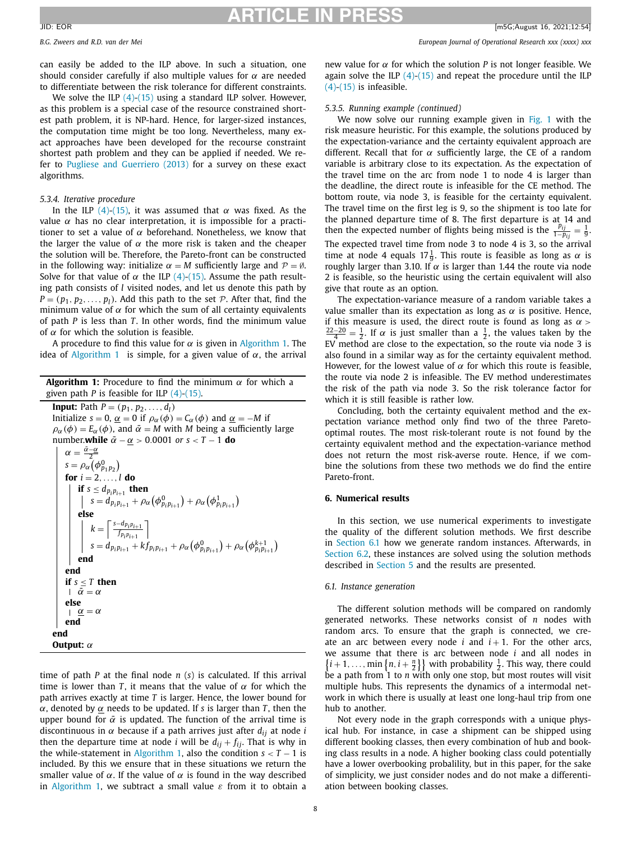<span id="page-7-0"></span>

can easily be added to the ILP above. In such a situation, one should consider carefully if also multiple values for  $\alpha$  are needed to differentiate between the risk tolerance for different constraints.

We solve the ILP  $(4)$ - $(15)$  using a standard ILP solver. However, as this problem is a special case of the resource constrained shortest path problem, it is NP-hard. Hence, for larger-sized instances, the computation time might be too long. Nevertheless, many exact approaches have been developed for the recourse constraint shortest path problem and they can be applied if needed. We refer to Pugliese and [Guerriero](#page-10-0) (2013) for a survey on these exact algorithms.

# *5.3.4. Iterative procedure*

In the ILP [\(4\)-\(15\),](#page-6-0) it was assumed that  $\alpha$  was fixed. As the value  $\alpha$  has no clear interpretation, it is impossible for a practitioner to set a value of  $\alpha$  beforehand. Nonetheless, we know that the larger the value of  $\alpha$  the more risk is taken and the cheaper the solution will be. Therefore, the Pareto-front can be constructed in the following way: initialize  $\alpha = M$  sufficiently large and  $\mathcal{P} = \emptyset$ . Solve for that value of  $\alpha$  the ILP [\(4\)-\(15\).](#page-6-0) Assume the path resulting path consists of *l* visited nodes, and let us denote this path by  $P = (p_1, p_2, \ldots, p_l)$ . Add this path to the set  $P$ . After that, find the minimum value of  $\alpha$  for which the sum of all certainty equivalents of path *P* is less than *T*. In other words, find the minimum value of  $\alpha$  for which the solution is feasible.

A procedure to find this value for  $\alpha$  is given in Algorithm 1. The idea of Algorithm 1 is simple, for a given value of  $\alpha$ , the arrival

**Algorithm 1:** Procedure to find the minimum  $\alpha$  for which a given path *P* is feasible for ILP [\(4\)-\(15\).](#page-6-0) **Input:** Path  $P = (p_1, p_2, ..., d_l)$ Initialize *s* = 0,  $\underline{\alpha}$  = 0 if  $\rho_{\alpha}(\phi)$  =  $C_{\alpha}(\phi)$  and  $\underline{\alpha}$  = −*M* if  $\rho_{\alpha}(\phi) = E_{\alpha}(\phi)$ , and  $\bar{\alpha} = M$  with *M* being a sufficiently large number.**while**  $\bar{\alpha} - \alpha > 0.0001$  *or*  $s < T - 1$  **do**  $\alpha = \frac{\bar{\alpha}-\underline{\alpha}}{2}$  $s = \rho_\alpha \left( \phi_{p_1 p_2}^0 \right)$ **for**  $i = 2, ..., l$  **do if**  $s \leq d_{p_i p_{i+1}}$  **then**  $s = d_{p_i p_{i+1}} + \rho_\alpha (\phi^0_{p_i p_{i+1}}) + \rho_\alpha (\phi^1_{p_i p_{i+1}})$ **else**  $k = \left[\frac{s-d_{p_i p_{i+1}}}{f}\right]$  $f_{p_i p_{i+1}}$ 1  $s = d_{p_i p_{i+1}} + k f_{p_i p_{i+1}} + \rho_\alpha (\phi_{p_i p_{i+1}}^0) + \rho_\alpha (\phi_{p_i p_{i+1}}^{k+1})$ **end end if**  $s \leq T$  **then**  $|\bar{\alpha} = \alpha$ **else**<br> $\alpha = \alpha$ **end end Output:** α

time of path *P* at the final node *n* (*s*) is calculated. If this arrival time is lower than *T*, it means that the value of  $\alpha$  for which the path arrives exactly at time *T* is larger. Hence, the lower bound for α, denoted by α needs to be updated. If *s* is larger than *T*, then the upper bound for  $\bar{\alpha}$  is updated. The function of the arrival time is discontinuous in  $\alpha$  because if a path arrives just after  $d_{ij}$  at node *i* then the departure time at node *i* will be  $d_{ij} + f_{ij}$ . That is why in the while-statement in Algorithm 1, also the condition  $s < T - 1$  is included. By this we ensure that in these situations we return the smaller value of  $\alpha$ . If the value of  $\alpha$  is found in the way described in Algorithm 1, we subtract a small value  $\varepsilon$  from it to obtain a

new value for  $\alpha$  for which the solution *P* is not longer feasible. We again solve the ILP  $(4)$ - $(15)$  and repeat the procedure until the ILP  $(4)-(15)$  is infeasible.

## *5.3.5. Running example (continued)*

We now solve our running example given in [Fig.](#page-5-0) 1 with the risk measure heuristic. For this example, the solutions produced by the expectation-variance and the certainty equivalent approach are different. Recall that for  $\alpha$  sufficiently large, the CE of a random variable is arbitrary close to its expectation. As the expectation of the travel time on the arc from node 1 to node 4 is larger than the deadline, the direct route is infeasible for the CE method. The bottom route, via node 3, is feasible for the certainty equivalent. The travel time on the first leg is 9, so the shipment is too late for the planned departure time of 8. The first departure is at 14 and then the expected number of flights being missed is the  $\frac{p_{ij}}{1-p_{ij}} = \frac{1}{9}$ . The expected travel time from node 3 to node 4 is 3, so the arrival time at node 4 equals  $17\frac{1}{9}$ . This route is feasible as long as  $\alpha$  is roughly larger than 3.10. If  $\alpha$  is larger than 1.44 the route via node 2 is feasible, so the heuristic using the certain equivalent will also give that route as an option.

The expectation-variance measure of a random variable takes a value smaller than its expectation as long as  $\alpha$  is positive. Hence, if this measure is used, the direct route is found as long as  $\alpha$  >  $\frac{22-20}{4} = \frac{1}{2}$ . If  $\alpha$  is just smaller than a  $\frac{1}{2}$ , the values taken by the EV method are close to the expectation, so the route via node 3 is also found in a similar way as for the certainty equivalent method. However, for the lowest value of  $\alpha$  for which this route is feasible, the route via node 2 is infeasible. The EV method underestimates the risk of the path via node 3. So the risk tolerance factor for which it is still feasible is rather low.

Concluding, both the certainty equivalent method and the expectation variance method only find two of the three Paretooptimal routes. The most risk-tolerant route is not found by the certainty equivalent method and the expectation-variance method does not return the most risk-averse route. Hence, if we combine the solutions from these two methods we do find the entire Pareto-front.

### **6. Numerical results**

In this section, we use numerical experiments to investigate the quality of the different solution methods. We first describe in Section 6.1 how we generate random instances. Afterwards, in [Section](#page-8-0) 6.2, these instances are solved using the solution methods described in [Section](#page-4-0) 5 and the results are presented.

### *6.1. Instance generation*

The different solution methods will be compared on randomly generated networks. These networks consist of *n* nodes with random arcs. To ensure that the graph is connected, we create an arc between every node  $i$  and  $i + 1$ . For the other arcs, we assume that there is arc between node *i* and all nodes in  $\left\{ i+1,\ldots,\min\left\{ n,i+\frac{n}{2}\right\} \right\}$  with probability  $\frac{1}{2}$ . This way, there could be a path from 1 to *n* with only one stop, but most routes will visit multiple hubs. This represents the dynamics of a intermodal network in which there is usually at least one long-haul trip from one hub to another.

Not every node in the graph corresponds with a unique physical hub. For instance, in case a shipment can be shipped using different booking classes, then every combination of hub and booking class results in a node. A higher booking class could potentially have a lower overbooking probalility, but in this paper, for the sake of simplicity, we just consider nodes and do not make a differentiation between booking classes.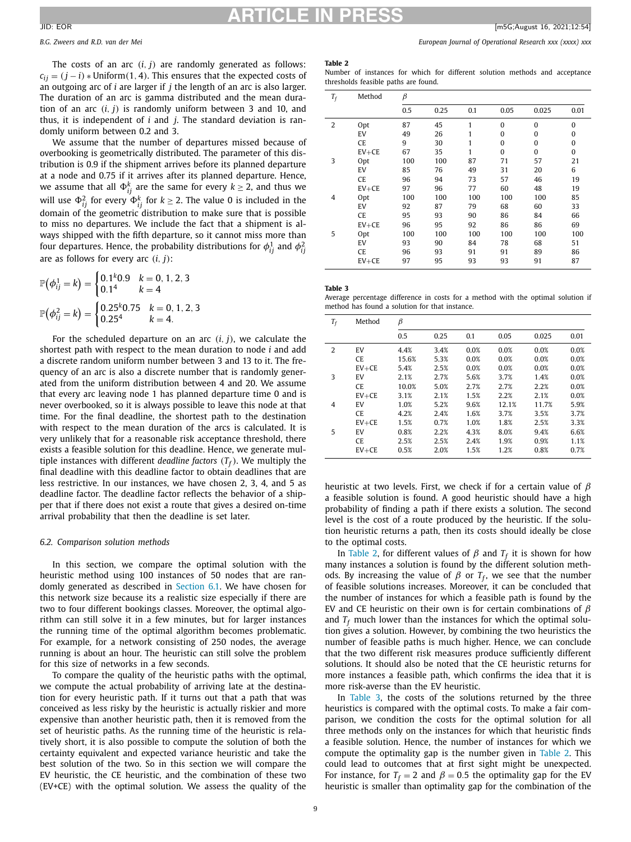The costs of an arc (*i*, *j*) are randomly generated as follows:  $c_{ij}$  =  $(j - i)$  ∗ Uniform(1, 4). This ensures that the expected costs of an outgoing arc of *i* are larger if *j* the length of an arc is also larger. The duration of an arc is gamma distributed and the mean duration of an arc (*i*, *j*) is randomly uniform between 3 and 10, and thus, it is independent of *i* and *j*. The standard deviation is randomly uniform between 0.2 and 3.

We assume that the number of departures missed because of overbooking is geometrically distributed. The parameter of this distribution is 0.9 if the shipment arrives before its planned departure at a node and 0.75 if it arrives after its planned departure. Hence, we assume that all  $\Phi_{ij}^k$  are the same for every  $k\geq 2$ , and thus we will use  $\Phi_{ij}^2$  for every  $\Phi_{ij}^k$  for  $k \geq 2$ . The value 0 is included in the domain of the geometric distribution to make sure that is possible to miss no departures. We include the fact that a shipment is always shipped with the fifth departure, so it cannot miss more than four departures. Hence, the probability distributions for  $\phi_{ij}^1$  and  $\phi_{ij}^2$ are as follows for every arc (*i*, *j*):

$$
\mathbb{P}(\phi_{ij}^1 = k) = \begin{cases} 0.1^k 0.9 & k = 0, 1, 2, 3 \\ 0.1^4 & k = 4 \end{cases}
$$

$$
\mathbb{P}(\phi_{ij}^2 = k) = \begin{cases} 0.25^k 0.75 & k = 0, 1, 2, 3 \\ 0.25^4 & k = 4. \end{cases}
$$

For the scheduled departure on an arc  $(i, j)$ , we calculate the shortest path with respect to the mean duration to node *i* and add a discrete random uniform number between 3 and 13 to it. The frequency of an arc is also a discrete number that is randomly generated from the uniform distribution between 4 and 20. We assume that every arc leaving node 1 has planned departure time 0 and is never overbooked, so it is always possible to leave this node at that time. For the final deadline, the shortest path to the destination with respect to the mean duration of the arcs is calculated. It is very unlikely that for a reasonable risk acceptance threshold, there exists a feasible solution for this deadline. Hence, we generate multiple instances with different *deadline factors*  $(T_f)$ . We multiply the final deadline with this deadline factor to obtain deadlines that are less restrictive. In our instances, we have chosen 2, 3, 4, and 5 as deadline factor. The deadline factor reflects the behavior of a shipper that if there does not exist a route that gives a desired on-time arrival probability that then the deadline is set later.

# *6.2. Comparison solution methods*

In this section, we compare the optimal solution with the heuristic method using 100 instances of 50 nodes that are randomly generated as described in [Section](#page-7-0) 6.1. We have chosen for this network size because its a realistic size especially if there are two to four different bookings classes. Moreover, the optimal algorithm can still solve it in a few minutes, but for larger instances the running time of the optimal algorithm becomes problematic. For example, for a network consisting of 250 nodes, the average running is about an hour. The heuristic can still solve the problem for this size of networks in a few seconds.

To compare the quality of the heuristic paths with the optimal, we compute the actual probability of arriving late at the destination for every heuristic path. If it turns out that a path that was conceived as less risky by the heuristic is actually riskier and more expensive than another heuristic path, then it is removed from the set of heuristic paths. As the running time of the heuristic is relatively short, it is also possible to compute the solution of both the certainty equivalent and expected variance heuristic and take the best solution of the two. So in this section we will compare the EV heuristic, the CE heuristic, and the combination of these two (EV+CE) with the optimal solution. We assess the quality of the

<span id="page-8-0"></span>*B.G. Zweers and R.D. van der Mei European Journal of Operational Research xxx (xxxx) xxx*

# **Table 2**

Number of instances for which for different solution methods and acceptance thresholds feasible paths are found.

| $T_f$ | Method    | β   |      |     |          |          |          |
|-------|-----------|-----|------|-----|----------|----------|----------|
|       |           | 0.5 | 0.25 | 0.1 | 0.05     | 0.025    | 0.01     |
| 2     | Opt       | 87  | 45   | 1   | 0        | $\Omega$ | 0        |
|       | EV        | 49  | 26   | 1   | 0        | $\Omega$ | 0        |
|       | CE        | 9   | 30   | 1   | $\theta$ | $\Omega$ | 0        |
|       | $EV + CE$ | 67  | 35   | 1   | 0        | $\Omega$ | $\bf{0}$ |
| 3     | Opt       | 100 | 100  | 87  | 71       | 57       | 21       |
|       | EV        | 85  | 76   | 49  | 31       | 20       | 6        |
|       | <b>CE</b> | 96  | 94   | 73  | 57       | 46       | 19       |
|       | $EV + CE$ | 97  | 96   | 77  | 60       | 48       | 19       |
| 4     | Opt       | 100 | 100  | 100 | 100      | 100      | 85       |
|       | EV        | 92  | 87   | 79  | 68       | 60       | 33       |
|       | <b>CE</b> | 95  | 93   | 90  | 86       | 84       | 66       |
|       | $EV + CE$ | 96  | 95   | 92  | 86       | 86       | 69       |
| 5     | Opt       | 100 | 100  | 100 | 100      | 100      | 100      |
|       | EV        | 93  | 90   | 84  | 78       | 68       | 51       |
|       | CE        | 96  | 93   | 91  | 91       | 89       | 86       |
|       | $EV + CE$ | 97  | 95   | 93  | 93       | 91       | 87       |

**Table 3**

Average percentage difference in costs for a method with the optimal solution if method has found a solution for that instance.

| $T_f$ | Method    | β     |      |      |       |       |      |
|-------|-----------|-------|------|------|-------|-------|------|
|       |           | 0.5   | 0.25 | 0.1  | 0.05  | 0.025 | 0.01 |
| 2     | EV        | 4.4%  | 3.4% | 0.0% | 0.0%  | 0.0%  | 0.0% |
|       | <b>CE</b> | 15.6% | 5.3% | 0.0% | 0.0%  | 0.0%  | 0.0% |
|       | $EV + CE$ | 5.4%  | 2.5% | 0.0% | 0.0%  | 0.0%  | 0.0% |
| 3     | EV        | 2.1%  | 2.7% | 5.6% | 3.7%  | 1.4%  | 0.0% |
|       | CE.       | 10.0% | 5.0% | 2.7% | 2.7%  | 2.2%  | 0.0% |
|       | $EV + CE$ | 3.1%  | 2.1% | 1.5% | 2.2%  | 2.1%  | 0.0% |
| 4     | EV        | 1.0%  | 5.2% | 9.6% | 12.1% | 11.7% | 5.9% |
|       | <b>CE</b> | 4.2%  | 2.4% | 1.6% | 3.7%  | 3.5%  | 3.7% |
|       | $EV + CE$ | 1.5%  | 0.7% | 1.0% | 1.8%  | 2.5%  | 3.3% |
| 5     | EV        | 0.8%  | 2.2% | 4.3% | 8.0%  | 9.4%  | 6.6% |
|       | <b>CE</b> | 2.5%  | 2.5% | 2.4% | 1.9%  | 0.9%  | 1.1% |
|       | $EV + CE$ | 0.5%  | 2.0% | 1.5% | 1.2%  | 0.8%  | 0.7% |

heuristic at two levels. First, we check if for a certain value of  $\beta$ a feasible solution is found. A good heuristic should have a high probability of finding a path if there exists a solution. The second level is the cost of a route produced by the heuristic. If the solution heuristic returns a path, then its costs should ideally be close to the optimal costs.

In Table 2, for different values of  $\beta$  and  $T_f$  it is shown for how many instances a solution is found by the different solution methods. By increasing the value of  $\beta$  or  $T_f$ , we see that the number of feasible solutions increases. Moreover, it can be concluded that the number of instances for which a feasible path is found by the EV and CE heuristic on their own is for certain combinations of  $\beta$ and  $T_f$  much lower than the instances for which the optimal solution gives a solution. However, by combining the two heuristics the number of feasible paths is much higher. Hence, we can conclude that the two different risk measures produce sufficiently different solutions. It should also be noted that the CE heuristic returns for more instances a feasible path, which confirms the idea that it is more risk-averse than the EV heuristic.

In Table 3, the costs of the solutions returned by the three heuristics is compared with the optimal costs. To make a fair comparison, we condition the costs for the optimal solution for all three methods only on the instances for which that heuristic finds a feasible solution. Hence, the number of instances for which we compute the optimality gap is the number given in Table 2. This could lead to outcomes that at first sight might be unexpected. For instance, for  $T_f = 2$  and  $\beta = 0.5$  the optimality gap for the EV heuristic is smaller than optimality gap for the combination of the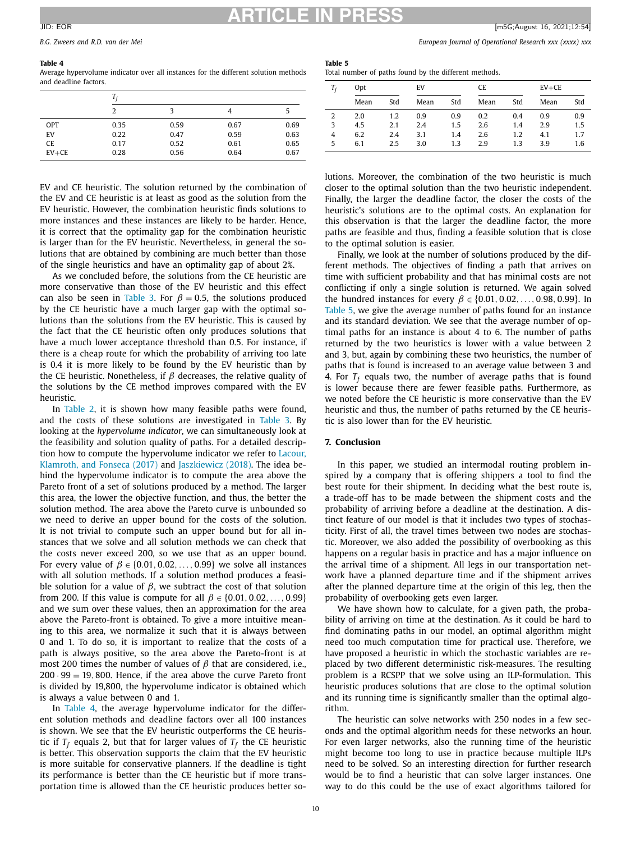### **Table 4**

Average hypervolume indicator over all instances for the different solution methods and deadline factors.

|           | 2    |      |      |      |  |  |
|-----------|------|------|------|------|--|--|
| OPT       | 0.35 | 0.59 | 0.67 | 0.69 |  |  |
| EV        | 0.22 | 0.47 | 0.59 | 0.63 |  |  |
| <b>CE</b> | 0.17 | 0.52 | 0.61 | 0.65 |  |  |
| $EV + CE$ | 0.28 | 0.56 | 0.64 | 0.67 |  |  |

EV and CE heuristic. The solution returned by the combination of the EV and CE heuristic is at least as good as the solution from the EV heuristic. However, the combination heuristic finds solutions to more instances and these instances are likely to be harder. Hence, it is correct that the optimality gap for the combination heuristic is larger than for the EV heuristic. Nevertheless, in general the solutions that are obtained by combining are much better than those of the single heuristics and have an optimality gap of about 2%.

As we concluded before, the solutions from the CE heuristic are more conservative than those of the EV heuristic and this effect can also be seen in [Table](#page-8-0) 3. For  $\beta = 0.5$ , the solutions produced by the CE heuristic have a much larger gap with the optimal solutions than the solutions from the EV heuristic. This is caused by the fact that the CE heuristic often only produces solutions that have a much lower acceptance threshold than 0.5. For instance, if there is a cheap route for which the probability of arriving too late is 0.4 it is more likely to be found by the EV heuristic than by the CE heuristic. Nonetheless, if  $β$  decreases, the relative quality of the solutions by the CE method improves compared with the EV heuristic.

In [Table](#page-8-0) 2, it is shown how many feasible paths were found, and the costs of these solutions are investigated in [Table](#page-8-0) 3. By looking at the *hypervolume indicator*, we can simultaneously look at the feasibility and solution quality of paths. For a detailed description how to compute the [hypervolume](#page-10-0) indicator we refer to Lacour, Klamroth, and Fonseca (2017) and [Jaszkiewicz](#page-10-0) (2018). The idea behind the hypervolume indicator is to compute the area above the Pareto front of a set of solutions produced by a method. The larger this area, the lower the objective function, and thus, the better the solution method. The area above the Pareto curve is unbounded so we need to derive an upper bound for the costs of the solution. It is not trivial to compute such an upper bound but for all instances that we solve and all solution methods we can check that the costs never exceed 200, so we use that as an upper bound. For every value of  $\beta \in \{0.01, 0.02, \ldots, 0.99\}$  we solve all instances with all solution methods. If a solution method produces a feasible solution for a value of  $\beta$ , we subtract the cost of that solution from 200. If this value is compute for all  $\beta \in \{0.01, 0.02, \ldots, 0.99\}$ and we sum over these values, then an approximation for the area above the Pareto-front is obtained. To give a more intuitive meaning to this area, we normalize it such that it is always between 0 and 1. To do so, it is important to realize that the costs of a path is always positive, so the area above the Pareto-front is at most 200 times the number of values of  $\beta$  that are considered, i.e.,  $200 \cdot 99 = 19,800$ . Hence, if the area above the curve Pareto front is divided by 19,800, the hypervolume indicator is obtained which is always a value between 0 and 1.

In Table 4, the average hypervolume indicator for the different solution methods and deadline factors over all 100 instances is shown. We see that the EV heuristic outperforms the CE heuristic if  $T_f$  equals 2, but that for larger values of  $T_f$  the CE heuristic is better. This observation supports the claim that the EV heuristic is more suitable for conservative planners. If the deadline is tight its performance is better than the CE heuristic but if more transportation time is allowed than the CE heuristic produces better so-

<span id="page-9-0"></span>*B.G. Zweers and R.D. van der Mei European Journal of Operational Research xxx (xxxx) xxx*

**Table 5** Total number of paths found by the different methods.

| Τŕ             | Opt  |     | EV   |     |      | CE  |      | $EV + CE$ |  |
|----------------|------|-----|------|-----|------|-----|------|-----------|--|
|                | Mean | Std | Mean | Std | Mean | Std | Mean | Std       |  |
| 2              | 2.0  | 1.2 | 0.9  | 0.9 | 0.2  | 0.4 | 0.9  | 0.9       |  |
| 3              | 4.5  | 2.1 | 2.4  | 1.5 | 2.6  | 1.4 | 2.9  | 1.5       |  |
| $\overline{4}$ | 6.2  | 2.4 | 3.1  | 1.4 | 2.6  | 1.2 | 4.1  | 1.7       |  |
| 5              | 6.1  | 2.5 | 3.0  | 1.3 | 2.9  | 1.3 | 3.9  | 1.6       |  |

lutions. Moreover, the combination of the two heuristic is much closer to the optimal solution than the two heuristic independent. Finally, the larger the deadline factor, the closer the costs of the heuristic's solutions are to the optimal costs. An explanation for this observation is that the larger the deadline factor, the more paths are feasible and thus, finding a feasible solution that is close to the optimal solution is easier.

Finally, we look at the number of solutions produced by the different methods. The objectives of finding a path that arrives on time with sufficient probability and that has minimal costs are not conflicting if only a single solution is returned. We again solved the hundred instances for every  $β ∈ {0.01, 0.02, ..., 0.98, 0.99}$ . In Table 5, we give the average number of paths found for an instance and its standard deviation. We see that the average number of optimal paths for an instance is about 4 to 6. The number of paths returned by the two heuristics is lower with a value between 2 and 3, but, again by combining these two heuristics, the number of paths that is found is increased to an average value between 3 and 4. For  $T_f$  equals two, the number of average paths that is found is lower because there are fewer feasible paths. Furthermore, as we noted before the CE heuristic is more conservative than the EV heuristic and thus, the number of paths returned by the CE heuristic is also lower than for the EV heuristic.

# **7. Conclusion**

In this paper, we studied an intermodal routing problem inspired by a company that is offering shippers a tool to find the best route for their shipment. In deciding what the best route is, a trade-off has to be made between the shipment costs and the probability of arriving before a deadline at the destination. A distinct feature of our model is that it includes two types of stochasticity. First of all, the travel times between two nodes are stochastic. Moreover, we also added the possibility of overbooking as this happens on a regular basis in practice and has a major influence on the arrival time of a shipment. All legs in our transportation network have a planned departure time and if the shipment arrives after the planned departure time at the origin of this leg, then the probability of overbooking gets even larger.

We have shown how to calculate, for a given path, the probability of arriving on time at the destination. As it could be hard to find dominating paths in our model, an optimal algorithm might need too much computation time for practical use. Therefore, we have proposed a heuristic in which the stochastic variables are replaced by two different deterministic risk-measures. The resulting problem is a RCSPP that we solve using an ILP-formulation. This heuristic produces solutions that are close to the optimal solution and its running time is significantly smaller than the optimal algorithm.

The heuristic can solve networks with 250 nodes in a few seconds and the optimal algorithm needs for these networks an hour. For even larger networks, also the running time of the heuristic might become too long to use in practice because multiple ILPs need to be solved. So an interesting direction for further research would be to find a heuristic that can solve larger instances. One way to do this could be the use of exact algorithms tailored for